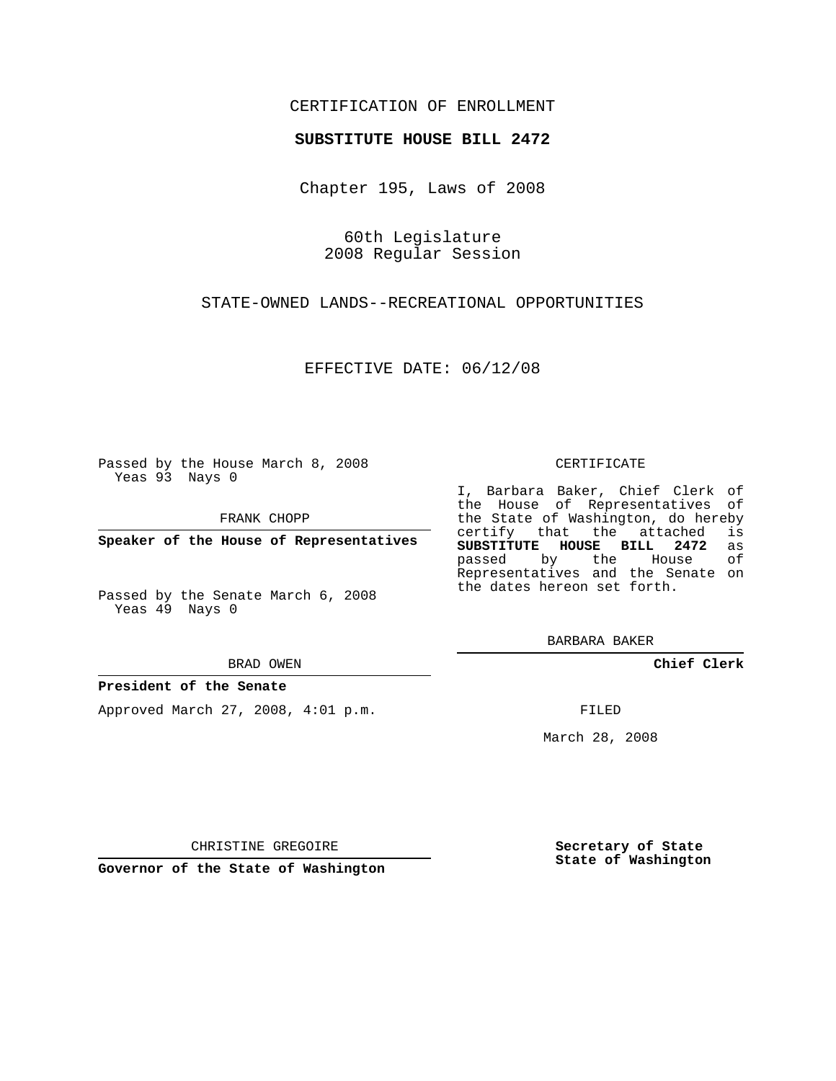# CERTIFICATION OF ENROLLMENT

## **SUBSTITUTE HOUSE BILL 2472**

Chapter 195, Laws of 2008

60th Legislature 2008 Regular Session

STATE-OWNED LANDS--RECREATIONAL OPPORTUNITIES

EFFECTIVE DATE: 06/12/08

Passed by the House March 8, 2008 Yeas 93 Nays 0

FRANK CHOPP

**Speaker of the House of Representatives**

Passed by the Senate March 6, 2008 Yeas 49 Nays 0

#### BRAD OWEN

## **President of the Senate**

Approved March 27, 2008, 4:01 p.m.

#### CERTIFICATE

I, Barbara Baker, Chief Clerk of the House of Representatives of the State of Washington, do hereby<br>certify that the attached is certify that the attached **SUBSTITUTE HOUSE BILL 2472** as passed by the House Representatives and the Senate on the dates hereon set forth.

BARBARA BAKER

**Chief Clerk**

FILED

March 28, 2008

CHRISTINE GREGOIRE

**Governor of the State of Washington**

**Secretary of State State of Washington**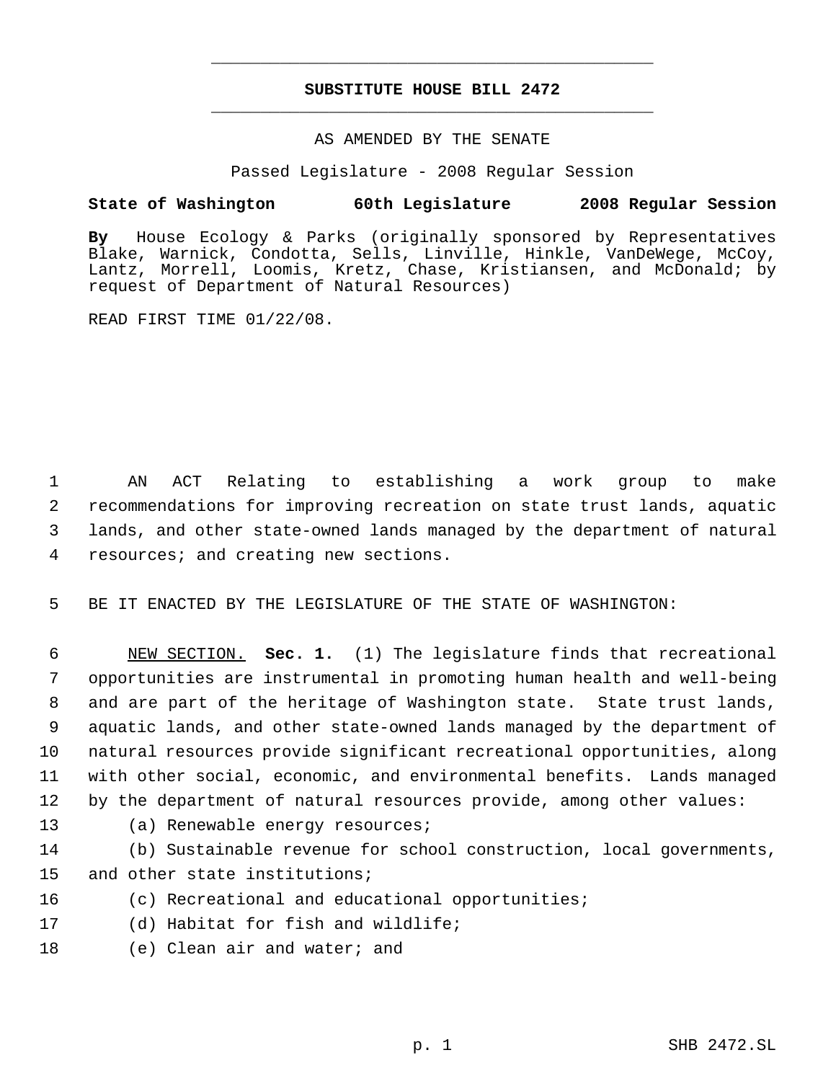# **SUBSTITUTE HOUSE BILL 2472** \_\_\_\_\_\_\_\_\_\_\_\_\_\_\_\_\_\_\_\_\_\_\_\_\_\_\_\_\_\_\_\_\_\_\_\_\_\_\_\_\_\_\_\_\_

\_\_\_\_\_\_\_\_\_\_\_\_\_\_\_\_\_\_\_\_\_\_\_\_\_\_\_\_\_\_\_\_\_\_\_\_\_\_\_\_\_\_\_\_\_

## AS AMENDED BY THE SENATE

Passed Legislature - 2008 Regular Session

## **State of Washington 60th Legislature 2008 Regular Session**

**By** House Ecology & Parks (originally sponsored by Representatives Blake, Warnick, Condotta, Sells, Linville, Hinkle, VanDeWege, McCoy, Lantz, Morrell, Loomis, Kretz, Chase, Kristiansen, and McDonald; by request of Department of Natural Resources)

READ FIRST TIME 01/22/08.

 AN ACT Relating to establishing a work group to make recommendations for improving recreation on state trust lands, aquatic lands, and other state-owned lands managed by the department of natural resources; and creating new sections.

5 BE IT ENACTED BY THE LEGISLATURE OF THE STATE OF WASHINGTON:

 NEW SECTION. **Sec. 1.** (1) The legislature finds that recreational opportunities are instrumental in promoting human health and well-being and are part of the heritage of Washington state. State trust lands, aquatic lands, and other state-owned lands managed by the department of natural resources provide significant recreational opportunities, along with other social, economic, and environmental benefits. Lands managed by the department of natural resources provide, among other values:

- 
- 13 (a) Renewable energy resources;
- 14 (b) Sustainable revenue for school construction, local governments, 15 and other state institutions;
- 16 (c) Recreational and educational opportunities;
- 17 (d) Habitat for fish and wildlife;
- 18 (e) Clean air and water; and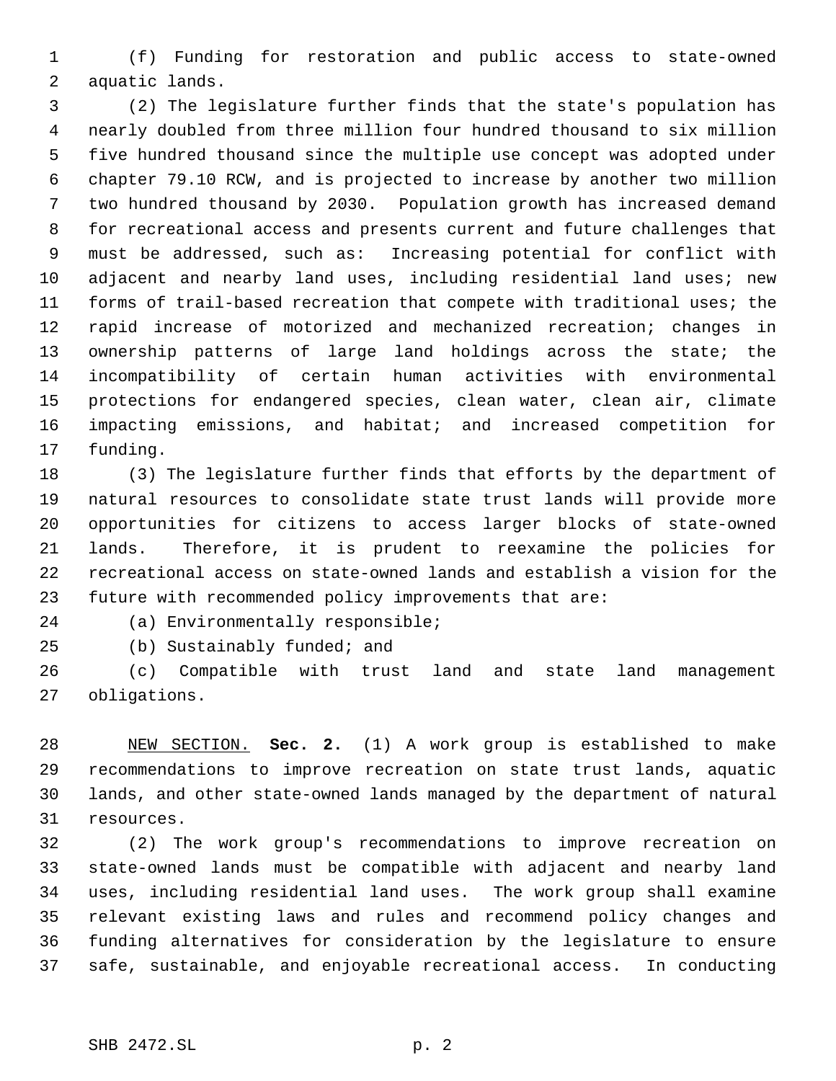(f) Funding for restoration and public access to state-owned aquatic lands.

 (2) The legislature further finds that the state's population has nearly doubled from three million four hundred thousand to six million five hundred thousand since the multiple use concept was adopted under chapter 79.10 RCW, and is projected to increase by another two million two hundred thousand by 2030. Population growth has increased demand for recreational access and presents current and future challenges that must be addressed, such as: Increasing potential for conflict with adjacent and nearby land uses, including residential land uses; new forms of trail-based recreation that compete with traditional uses; the rapid increase of motorized and mechanized recreation; changes in ownership patterns of large land holdings across the state; the incompatibility of certain human activities with environmental protections for endangered species, clean water, clean air, climate impacting emissions, and habitat; and increased competition for funding.

 (3) The legislature further finds that efforts by the department of natural resources to consolidate state trust lands will provide more opportunities for citizens to access larger blocks of state-owned lands. Therefore, it is prudent to reexamine the policies for recreational access on state-owned lands and establish a vision for the future with recommended policy improvements that are:

(a) Environmentally responsible;

(b) Sustainably funded; and

 (c) Compatible with trust land and state land management obligations.

 NEW SECTION. **Sec. 2.** (1) A work group is established to make recommendations to improve recreation on state trust lands, aquatic lands, and other state-owned lands managed by the department of natural resources.

 (2) The work group's recommendations to improve recreation on state-owned lands must be compatible with adjacent and nearby land uses, including residential land uses. The work group shall examine relevant existing laws and rules and recommend policy changes and funding alternatives for consideration by the legislature to ensure safe, sustainable, and enjoyable recreational access. In conducting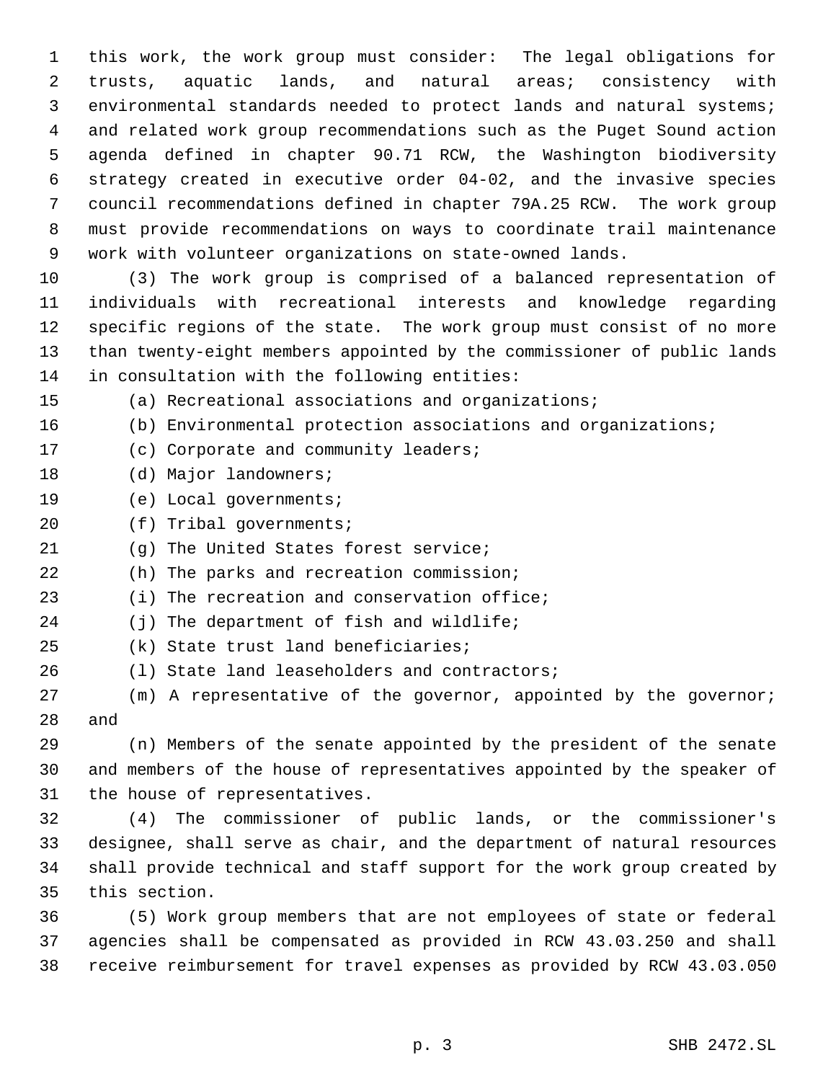this work, the work group must consider: The legal obligations for trusts, aquatic lands, and natural areas; consistency with environmental standards needed to protect lands and natural systems; and related work group recommendations such as the Puget Sound action agenda defined in chapter 90.71 RCW, the Washington biodiversity strategy created in executive order 04-02, and the invasive species council recommendations defined in chapter 79A.25 RCW. The work group must provide recommendations on ways to coordinate trail maintenance work with volunteer organizations on state-owned lands.

 (3) The work group is comprised of a balanced representation of individuals with recreational interests and knowledge regarding specific regions of the state. The work group must consist of no more than twenty-eight members appointed by the commissioner of public lands in consultation with the following entities:

(a) Recreational associations and organizations;

- (b) Environmental protection associations and organizations;
- (c) Corporate and community leaders;
- 18 (d) Major landowners;
- (e) Local governments;
- (f) Tribal governments;
- (g) The United States forest service;
- (h) The parks and recreation commission;
- (i) The recreation and conservation office;
- 24 (j) The department of fish and wildlife;
- (k) State trust land beneficiaries;
- (l) State land leaseholders and contractors;

 (m) A representative of the governor, appointed by the governor; and

 (n) Members of the senate appointed by the president of the senate and members of the house of representatives appointed by the speaker of the house of representatives.

 (4) The commissioner of public lands, or the commissioner's designee, shall serve as chair, and the department of natural resources shall provide technical and staff support for the work group created by this section.

 (5) Work group members that are not employees of state or federal agencies shall be compensated as provided in RCW 43.03.250 and shall receive reimbursement for travel expenses as provided by RCW 43.03.050